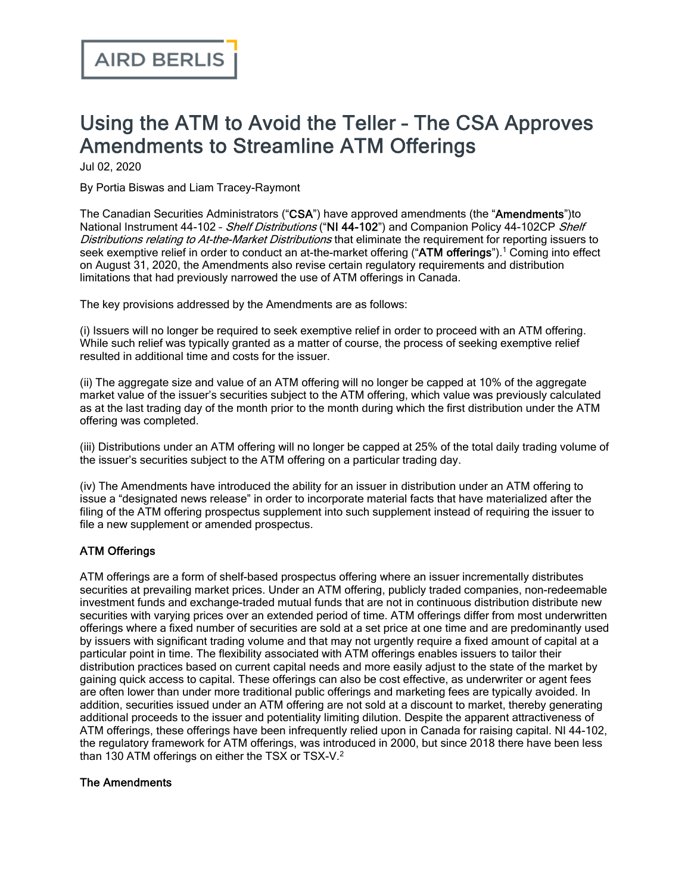# Using the ATM to Avoid the Teller – The CSA Approves Amendments to Streamline ATM Offerings

Jul 02, 2020

By Portia Biswas and Liam Tracey-Raymont

The Canadian Securities Administrators ("CSA") have approved [amendments](https://www.osc.gov.on.ca/en/SecuritiesLaw_rule_20190604_44-102_shelf-distributions.htm) (the "Amendments")to National Instrument 44-102 - Shelf Distributions ("NI 44-102") and Companion Policy 44-102CP Shelf Distributions relating to At-the-Market Distributions that eliminate the requirement for reporting issuers to seek exemptive relief in order to conduct an at-the-market offering ("ATM offerings").<sup>1</sup> Coming into effect on August 31, 2020, the Amendments also revise certain regulatory requirements and distribution limitations that had previously narrowed the use of ATM offerings in Canada.

The key provisions addressed by the Amendments are as follows:

(i) Issuers will no longer be required to seek exemptive relief in order to proceed with an ATM offering. While such relief was typically granted as a matter of course, the process of seeking exemptive relief resulted in additional time and costs for the issuer.

(ii) The aggregate size and value of an ATM offering will no longer be capped at 10% of the aggregate market value of the issuer's securities subject to the ATM offering, which value was previously calculated as at the last trading day of the month prior to the month during which the first distribution under the ATM offering was completed.

(iii) Distributions under an ATM offering will no longer be capped at 25% of the total daily trading volume of the issuer's securities subject to the ATM offering on a particular trading day.

(iv) The Amendments have introduced the ability for an issuer in distribution under an ATM offering to issue a "designated news release" in order to incorporate material facts that have materialized after the filing of the ATM offering prospectus supplement into such supplement instead of requiring the issuer to file a new supplement or amended prospectus.

### ATM Offerings

ATM offerings are a form of shelf-based prospectus offering where an issuer incrementally distributes securities at prevailing market prices. Under an ATM offering, publicly traded companies, non-redeemable investment funds and exchange-traded mutual funds that are not in continuous distribution distribute new securities with varying prices over an extended period of time. ATM offerings differ from most underwritten offerings where a fixed number of securities are sold at a set price at one time and are predominantly used by issuers with significant trading volume and that may not urgently require a fixed amount of capital at a particular point in time. The flexibility associated with ATM offerings enables issuers to tailor their distribution practices based on current capital needs and more easily adjust to the state of the market by gaining quick access to capital. These offerings can also be cost effective, as underwriter or agent fees are often lower than under more traditional public offerings and marketing fees are typically avoided. In addition, securities issued under an ATM offering are not sold at a discount to market, thereby generating additional proceeds to the issuer and potentiality limiting dilution. Despite the apparent attractiveness of ATM offerings, these offerings have been infrequently relied upon in Canada for raising capital. NI 44-102, the regulatory framework for ATM offerings, was introduced in 2000, but since 2018 there have been less than 130 ATM offerings on either the TSX or TSX-V.<sup>2</sup>

#### The Amendments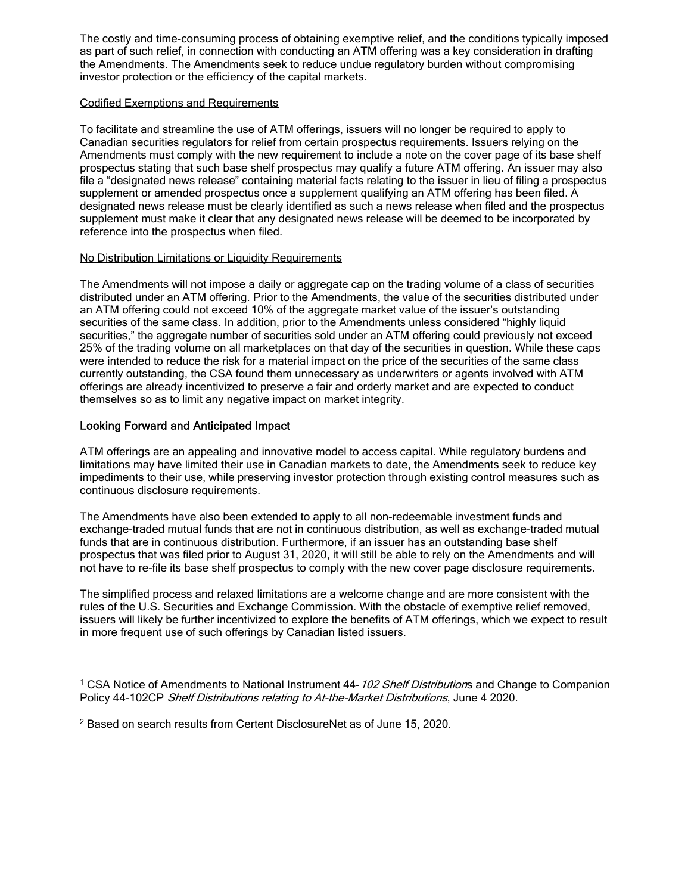The costly and time-consuming process of obtaining exemptive relief, and the conditions typically imposed as part of such relief, in connection with conducting an ATM offering was a key consideration in drafting the Amendments. The Amendments seek to reduce undue regulatory burden without compromising investor protection or the efficiency of the capital markets.

#### Codified Exemptions and Requirements

To facilitate and streamline the use of ATM offerings, issuers will no longer be required to apply to Canadian securities regulators for relief from certain prospectus requirements. Issuers relying on the Amendments must comply with the new requirement to include a note on the cover page of its base shelf prospectus stating that such base shelf prospectus may qualify a future ATM offering. An issuer may also file a "designated news release" containing material facts relating to the issuer in lieu of filing a prospectus supplement or amended prospectus once a supplement qualifying an ATM offering has been filed. A designated news release must be clearly identified as such a news release when filed and the prospectus supplement must make it clear that any designated news release will be deemed to be incorporated by reference into the prospectus when filed.

#### No Distribution Limitations or Liquidity Requirements

The Amendments will not impose a daily or aggregate cap on the trading volume of a class of securities distributed under an ATM offering. Prior to the Amendments, the value of the securities distributed under an ATM offering could not exceed 10% of the aggregate market value of the issuer's outstanding securities of the same class. In addition, prior to the Amendments unless considered "highly liquid securities," the aggregate number of securities sold under an ATM offering could previously not exceed 25% of the trading volume on all marketplaces on that day of the securities in question. While these caps were intended to reduce the risk for a material impact on the price of the securities of the same class currently outstanding, the CSA found them unnecessary as underwriters or agents involved with ATM offerings are already incentivized to preserve a fair and orderly market and are expected to conduct themselves so as to limit any negative impact on market integrity.

#### Looking Forward and Anticipated Impact

ATM offerings are an appealing and innovative model to access capital. While regulatory burdens and limitations may have limited their use in Canadian markets to date, the Amendments seek to reduce key impediments to their use, while preserving investor protection through existing control measures such as continuous disclosure requirements.

The Amendments have also been extended to apply to all non-redeemable investment funds and exchange-traded mutual funds that are not in continuous distribution, as well as exchange-traded mutual funds that are in continuous distribution. Furthermore, if an issuer has an outstanding base shelf prospectus that was filed prior to August 31, 2020, it will still be able to rely on the Amendments and will not have to re-file its base shelf prospectus to comply with the new cover page disclosure requirements.

The simplified process and relaxed limitations are a welcome change and are more consistent with the rules of the U.S. Securities and Exchange Commission. With the obstacle of exemptive relief removed, issuers will likely be further incentivized to explore the benefits of ATM offerings, which we expect to result in more frequent use of such offerings by Canadian listed issuers.

<sup>1</sup> CSA Notice of Amendments to National Instrument 44-102 Shelf Distributions and Change to Companion Policy 44-102CP Shelf Distributions relating to At-the-Market Distributions, June 4 2020.

<sup>2</sup> Based on search results from Certent DisclosureNet as of June 15, 2020.